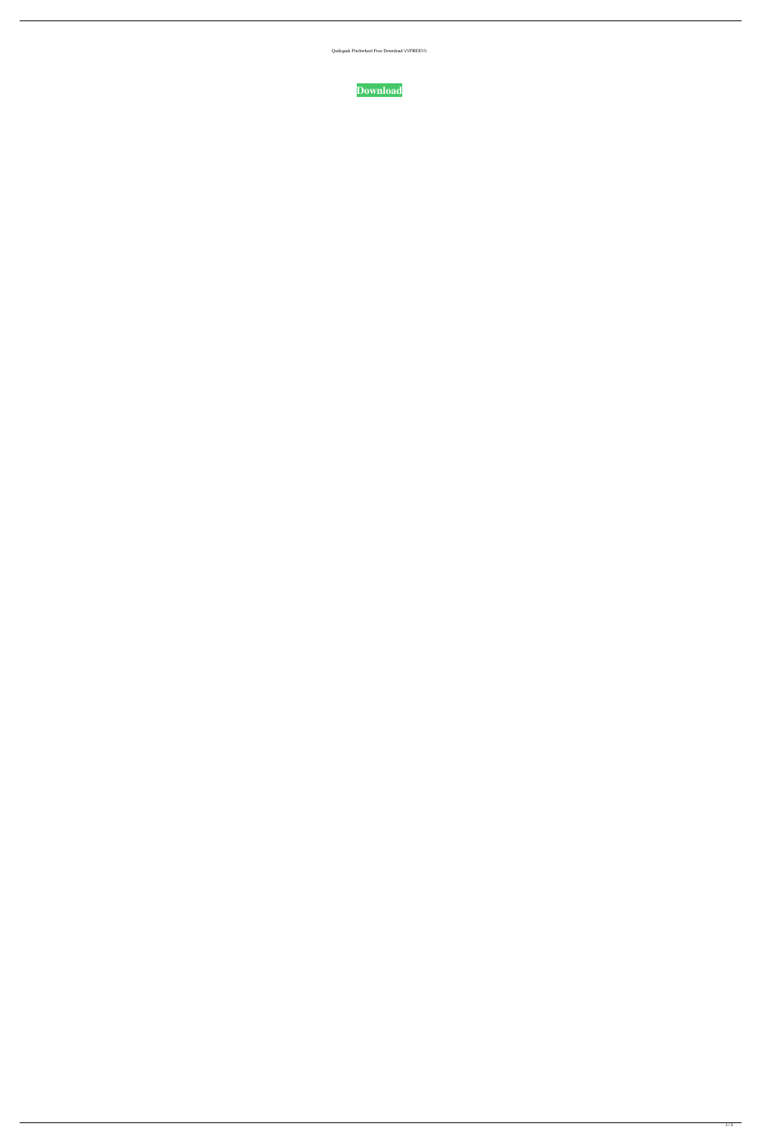Quikquak Pitchwheel Free Download \/\/FREE\\\\

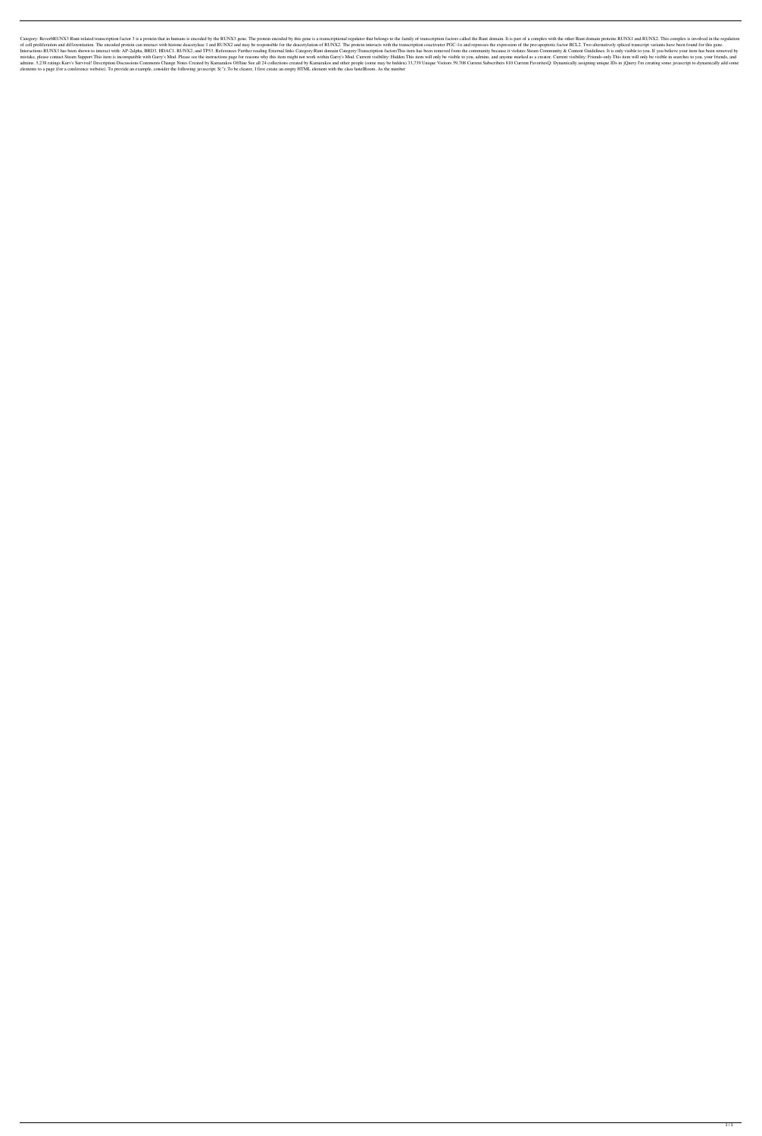Category: ReverbRUNX3 Runt-related transcription factor 3 is a protein that in humans is encoded by the RUNX3 gene. The protein encoded by this gene is a transcriptional regulator that belongs to the family of transcriptio of cell proliferation and differentiation. The encoded protein can interact with histone deacetylase 1 and RUNX2 and may be responsible for the deacetylation of RUNX2. The protein interacts with the transcription coactiva Interactions RUNX3 has been shown to interact with: AP-2alpha, BRD3, HDAC1, RUNX2, and TP53. References Further reading External links Category:Runt domain Category:Transcription factorsThis item has been removed from the mistake, please contact Steam Support This item is incompatible with Garry's Mod. Please see the instructions page for reasons why this item might not work within Garry's Mod. Current visibility: Hidden This item will only admins. 5,238 ratings Kurv's Survival! Description Discussions Comments Change Notes Created by Kamarakos Offline See all 24 collections created by Kamarakos and other people (some may be hidden) 33,739 Unique Visitors 59, elements to a page (for a conference website). To provide an example, consider the following javascript: \$(''); To be clearer, I first create an empty HTML element with the class hotelRoom. As the number